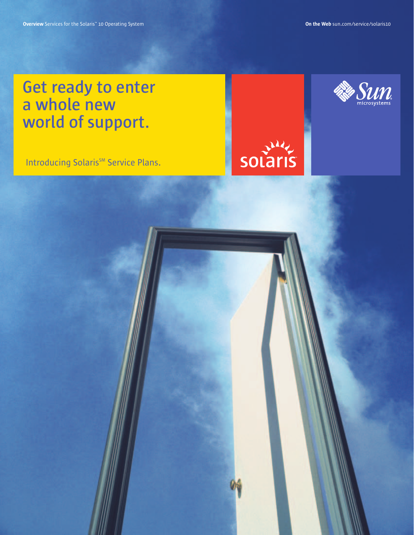**Get ready to enter a whole new world of support.** 

Introducing Solaris<sup>SM</sup> Service Plans.



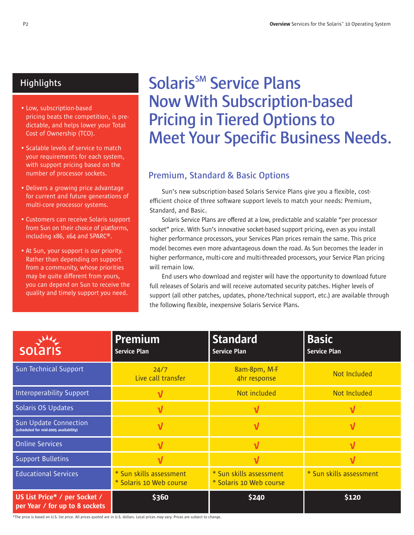### **Highlights**

- Low, subscription-based pricing beats the competition, is predictable, and helps lower your Total Cost of Ownership (TCO).
- Scalable levels of service to match your requirements for each system, with support pricing based on the number of processor sockets.
- Delivers a growing price advantage for current and future generations of multi-core processor systems.
- Customers can receive Solaris support from Sun on their choice of platforms, including x86, x64 and SPARC®.
- At Sun, your support is our priority. Rather than depending on support from a community, whose priorities may be quite different from yours, you can depend on Sun to receive the quality and timely support you need.

# **Solaris<sup>SM</sup> Service Plans Now With Subscription-based Pricing in Tiered Options to Meet Your Specific Business Needs.**

### **Premium, Standard & Basic Options**

Sun's new subscription-based Solaris Service Plans give you a flexible, costefficient choice of three software support levels to match your needs: Premium, Standard, and Basic.

Solaris Service Plans are offered at a low, predictable and scalable "per processor socket" price. With Sun's innovative socket-based support pricing, even as you install higher performance processors, your Services Plan prices remain the same. This price model becomes even more advantageous down the road. As Sun becomes the leader in higher performance, multi-core and multi-threaded processors, your Service Plan pricing will remain low.

End users who download and register will have the opportunity to download future full releases of Solaris and will receive automated security patches. Higher levels of support (all other patches, updates, phone/technical support, etc.) are available through the following flexible, inexpensive Solaris Service Plans.

| solaris                                                               | <b>Premium</b><br><b>Service Plan</b>              | <b>Standard</b><br><b>Service Plan</b>             | <b>Basic</b><br><b>Service Plan</b> |
|-----------------------------------------------------------------------|----------------------------------------------------|----------------------------------------------------|-------------------------------------|
| Sun Technical Support                                                 | 24/7<br>Live call transfer                         | 8am-8pm, M-F<br>4hr response                       | Not Included                        |
| <b>Interoperability Support</b>                                       |                                                    | Not included                                       | Not Included                        |
| Solaris OS Updates                                                    |                                                    |                                                    |                                     |
| <b>Sun Update Connection</b><br>(scheduled for mid-2005 availability) | ν                                                  |                                                    |                                     |
| <b>Online Services</b>                                                | ν                                                  |                                                    | V                                   |
| <b>Support Bulletins</b>                                              | ν                                                  |                                                    |                                     |
| <b>Educational Services</b>                                           | * Sun skills assessment<br>* Solaris 10 Web course | * Sun skills assessment<br>* Solaris 10 Web course | * Sun skills assessment             |
| US List Price* / per Socket /<br>per Year / for up to 8 sockets       | \$360                                              | \$240                                              | \$120                               |

\*The price is based on U.S. list price. All prices quoted are in U.S. dollars. Local prices may vary. Prices are subject to change.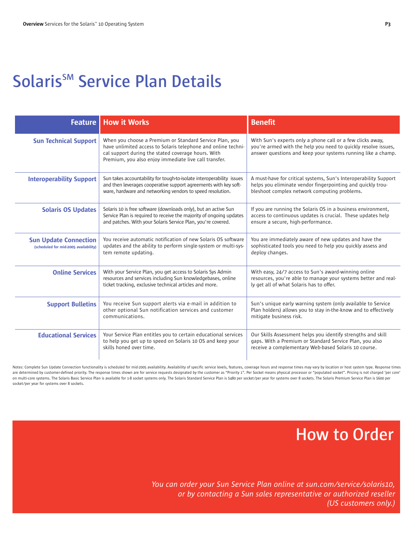### **Solaris<sup>SM</sup> Service Plan Details**

| <b>Feature</b>                                                        | <b>How it Works</b>                                                                                                                                                                                                                     | <b>Benefit</b>                                                                                                                                                                               |  |
|-----------------------------------------------------------------------|-----------------------------------------------------------------------------------------------------------------------------------------------------------------------------------------------------------------------------------------|----------------------------------------------------------------------------------------------------------------------------------------------------------------------------------------------|--|
| <b>Sun Technical Support</b>                                          | When you choose a Premium or Standard Service Plan, you<br>have unlimited access to Solaris telephone and online techni-<br>cal support during the stated coverage hours. With<br>Premium, you also enjoy immediate live call transfer. | With Sun's experts only a phone call or a few clicks away.<br>you're armed with the help you need to quickly resolve issues,<br>answer questions and keep your systems running like a champ. |  |
| <b>Interoperability Support</b>                                       | Sun takes accountability for tough-to-isolate interoperability issues<br>and then leverages cooperative support agreements with key soft-<br>ware, hardware and networking vendors to speed resolution.                                 | A must-have for critical systems, Sun's Interoperability Support<br>helps you eliminate vendor fingerpointing and quickly trou-<br>bleshoot complex network computing problems.              |  |
| <b>Solaris OS Updates</b>                                             | Solaris 10 is free software (downloads only), but an active Sun<br>Service Plan is required to receive the majority of ongoing updates<br>and patches. With your Solaris Service Plan, you're covered.                                  | If you are running the Solaris OS in a business environment,<br>access to continuous updates is crucial. These updates help<br>ensure a secure, high-performance.                            |  |
| <b>Sun Update Connection</b><br>(scheduled for mid-2005 availability) | You receive automatic notification of new Solaris OS software<br>updates and the ability to perform single-system or multi-sys-<br>tem remote updating.                                                                                 | You are immediately aware of new updates and have the<br>sophisticated tools you need to help you quickly assess and<br>deploy changes.                                                      |  |
| <b>Online Services</b>                                                | With your Service Plan, you get access to Solaris Sys Admin<br>resources and services including Sun knowledgebases, online<br>ticket tracking, exclusive technical articles and more.                                                   | With easy, 24/7 access to Sun's award-winning online<br>resources, you're able to manage your systems better and real-<br>ly get all of what Solaris has to offer.                           |  |
| <b>Support Bulletins</b>                                              | You receive Sun support alerts via e-mail in addition to<br>other optional Sun notification services and customer<br>communications.                                                                                                    | Sun's unique early warning system (only available to Service<br>Plan holders) allows you to stay in-the-know and to effectively<br>mitigate business risk.                                   |  |
| <b>Educational Services</b>                                           | Your Service Plan entitles you to certain educational services<br>to help you get up to speed on Solaris 10 OS and keep your<br>skills honed over time.                                                                                 | Our Skills Assessment helps you identify strengths and skill<br>gaps. With a Premium or Standard Service Plan, you also<br>receive a complementary Web-based Solaris 10 course.              |  |

Notes: Complete Sun Update Connection functionality is scheduled for mid-2005 availability. Availability of specific service levels, features, coverage hours and response times may vary by location or host system type. Res are determined by customer defined priority. The response times shown are for service requests designated by the customer as "Priority 1". Per Socket means physical processor or "populated socket". Pricing is not charged ' on multi-core systems. The Solaris Basic Service Plan is available for 1-8 socket systems only. The Solaris Standard Service Plan is \$480 per socket/per year for systems over 8 sockets. The Solaris Premium Service Plan is socket/per year for systems over 8 sockets.

### **How to Order**

*You can order your Sun Service Plan online at sun.com/service/solaris10, or by contacting a Sun sales representative or authorized reseller (US customers only.)*